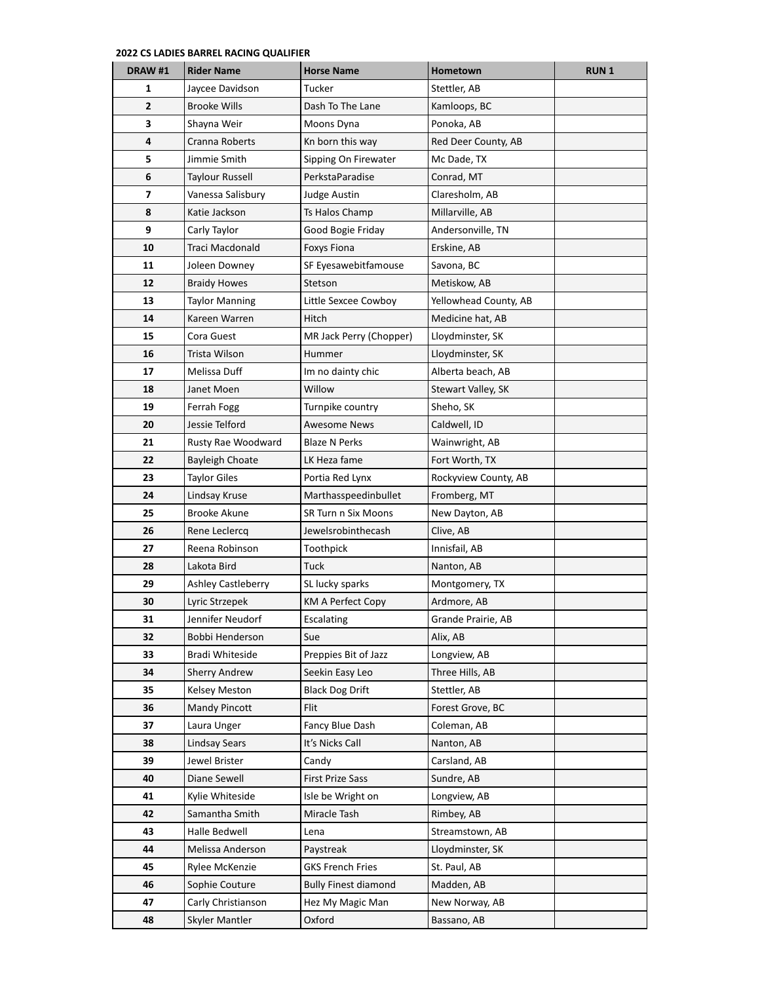| DRAW#1                  | <b>Rider Name</b>         | <b>Horse Name</b>           | Hometown              | <b>RUN1</b> |
|-------------------------|---------------------------|-----------------------------|-----------------------|-------------|
| 1                       | Jaycee Davidson           | Tucker                      | Stettler, AB          |             |
| $\overline{2}$          | Brooke Wills              | Dash To The Lane            | Kamloops, BC          |             |
| 3                       | Shayna Weir               | Moons Dyna                  | Ponoka, AB            |             |
| 4                       | Cranna Roberts            | Kn born this way            | Red Deer County, AB   |             |
| 5                       | Jimmie Smith              | Sipping On Firewater        | Mc Dade, TX           |             |
| 6                       | <b>Taylour Russell</b>    | PerkstaParadise             | Conrad, MT            |             |
| $\overline{\mathbf{z}}$ | Vanessa Salisbury         | Judge Austin                | Claresholm, AB        |             |
| 8                       | Katie Jackson             | Ts Halos Champ              | Millarville, AB       |             |
| 9                       | Carly Taylor              | Good Bogie Friday           | Andersonville, TN     |             |
| 10                      | Traci Macdonald           | <b>Foxys Fiona</b>          | Erskine, AB           |             |
| 11                      | Joleen Downey             | SF Eyesawebitfamouse        | Savona, BC            |             |
| 12                      | <b>Braidy Howes</b>       | Stetson                     | Metiskow, AB          |             |
| 13                      | Taylor Manning            | Little Sexcee Cowboy        | Yellowhead County, AB |             |
| 14                      | Kareen Warren             | Hitch                       | Medicine hat, AB      |             |
| 15                      | Cora Guest                | MR Jack Perry (Chopper)     | Lloydminster, SK      |             |
| 16                      | Trista Wilson             | Hummer                      | Lloydminster, SK      |             |
| 17                      | Melissa Duff              | Im no dainty chic           | Alberta beach, AB     |             |
| 18                      | Janet Moen                | Willow                      | Stewart Valley, SK    |             |
| 19                      | Ferrah Fogg               | Turnpike country            | Sheho, SK             |             |
| 20                      | Jessie Telford            | <b>Awesome News</b>         | Caldwell, ID          |             |
| 21                      | Rusty Rae Woodward        | <b>Blaze N Perks</b>        | Wainwright, AB        |             |
| 22                      | <b>Bayleigh Choate</b>    | LK Heza fame                | Fort Worth, TX        |             |
| 23                      | <b>Taylor Giles</b>       | Portia Red Lynx             | Rockyview County, AB  |             |
| 24                      | Lindsay Kruse             | Marthasspeedinbullet        | Fromberg, MT          |             |
| 25                      | <b>Brooke Akune</b>       | SR Turn n Six Moons         | New Dayton, AB        |             |
| 26                      | Rene Leclercq             | Jewelsrobinthecash          | Clive, AB             |             |
| 27                      | Reena Robinson            | Toothpick                   | Innisfail, AB         |             |
| 28                      | Lakota Bird               | Tuck                        | Nanton, AB            |             |
| 29                      | <b>Ashley Castleberry</b> | SL lucky sparks             | Montgomery, TX        |             |
| 30                      | Lyric Strzepek            | KM A Perfect Copy           | Ardmore, AB           |             |
| 31                      | Jennifer Neudorf          | Escalating                  | Grande Prairie, AB    |             |
| 32                      | Bobbi Henderson           | Sue                         | Alix, AB              |             |
| 33                      | <b>Bradi Whiteside</b>    | Preppies Bit of Jazz        | Longview, AB          |             |
| 34                      | <b>Sherry Andrew</b>      | Seekin Easy Leo             | Three Hills, AB       |             |
| 35                      | Kelsey Meston             | <b>Black Dog Drift</b>      | Stettler, AB          |             |
| 36                      | <b>Mandy Pincott</b>      | Flit                        | Forest Grove, BC      |             |
| 37                      | Laura Unger               | Fancy Blue Dash             | Coleman, AB           |             |
| 38                      | Lindsay Sears             | It's Nicks Call             | Nanton, AB            |             |
| 39                      | Jewel Brister             | Candy                       | Carsland, AB          |             |
| 40                      | Diane Sewell              | <b>First Prize Sass</b>     | Sundre, AB            |             |
| 41                      | Kylie Whiteside           | Isle be Wright on           | Longview, AB          |             |
| 42                      | Samantha Smith            | Miracle Tash                | Rimbey, AB            |             |
| 43                      | Halle Bedwell             | Lena                        | Streamstown, AB       |             |
| 44                      | Melissa Anderson          | Paystreak                   | Lloydminster, SK      |             |
| 45                      | Rylee McKenzie            | <b>GKS French Fries</b>     | St. Paul, AB          |             |
| 46                      | Sophie Couture            | <b>Bully Finest diamond</b> | Madden, AB            |             |
| 47                      | Carly Christianson        | Hez My Magic Man            | New Norway, AB        |             |
| 48                      | Skyler Mantler            | Oxford                      | Bassano, AB           |             |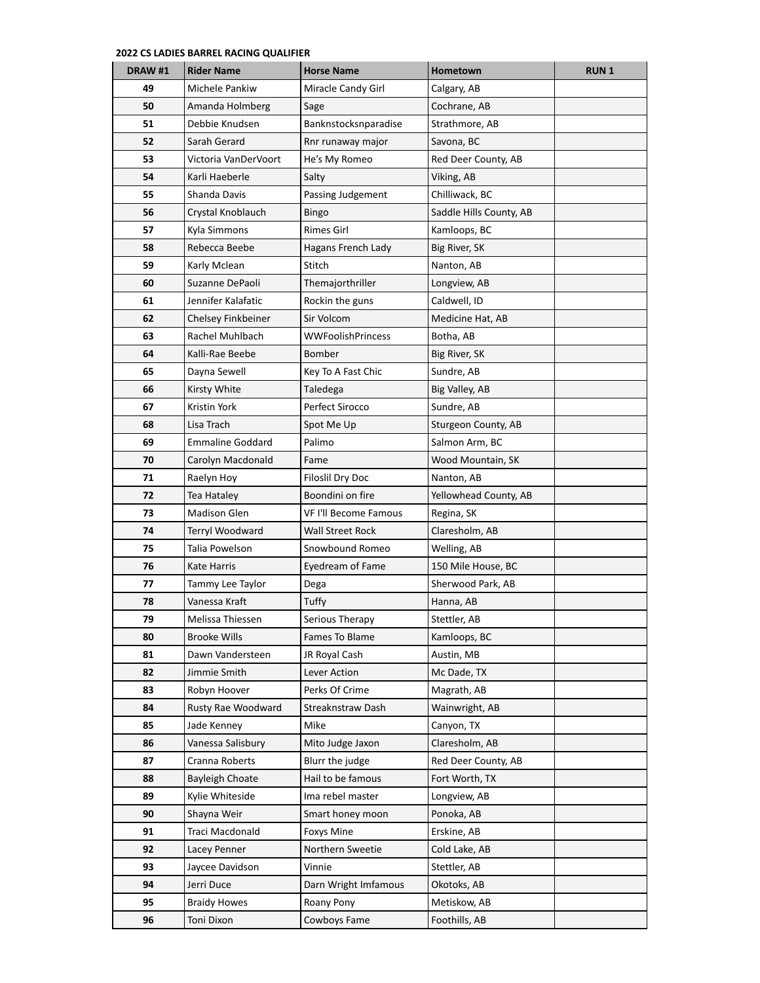| DRAW #1 | <b>Rider Name</b>       | <b>Horse Name</b>        | Hometown                | <b>RUN1</b> |
|---------|-------------------------|--------------------------|-------------------------|-------------|
| 49      | Michele Pankiw          | Miracle Candy Girl       | Calgary, AB             |             |
| 50      | Amanda Holmberg         | Sage                     | Cochrane, AB            |             |
| 51      | Debbie Knudsen          | Banknstocksnparadise     | Strathmore, AB          |             |
| 52      | Sarah Gerard            | Rnr runaway major        | Savona, BC              |             |
| 53      | Victoria VanDerVoort    | He's My Romeo            | Red Deer County, AB     |             |
| 54      | Karli Haeberle          | Salty                    | Viking, AB              |             |
| 55      | Shanda Davis            | Passing Judgement        | Chilliwack, BC          |             |
| 56      | Crystal Knoblauch       | Bingo                    | Saddle Hills County, AB |             |
| 57      | Kyla Simmons            | <b>Rimes Girl</b>        | Kamloops, BC            |             |
| 58      | Rebecca Beebe           | Hagans French Lady       | Big River, SK           |             |
| 59      | Karly Mclean            | Stitch                   | Nanton, AB              |             |
| 60      | Suzanne DePaoli         | Themajorthriller         | Longview, AB            |             |
| 61      | Jennifer Kalafatic      | Rockin the guns          | Caldwell, ID            |             |
| 62      | Chelsey Finkbeiner      | Sir Volcom               | Medicine Hat, AB        |             |
| 63      | Rachel Muhlbach         | <b>WWFoolishPrincess</b> | Botha, AB               |             |
| 64      | Kalli-Rae Beebe         | Bomber                   | Big River, SK           |             |
| 65      | Dayna Sewell            | Key To A Fast Chic       | Sundre, AB              |             |
| 66      | Kirsty White            | Taledega                 | Big Valley, AB          |             |
| 67      | Kristin York            | Perfect Sirocco          | Sundre, AB              |             |
| 68      | Lisa Trach              | Spot Me Up               | Sturgeon County, AB     |             |
| 69      | <b>Emmaline Goddard</b> | Palimo                   | Salmon Arm, BC          |             |
| 70      | Carolyn Macdonald       | Fame                     | Wood Mountain, SK       |             |
| 71      | Raelyn Hoy              | <b>Filoslil Dry Doc</b>  | Nanton, AB              |             |
| 72      | Tea Hataley             | Boondini on fire         | Yellowhead County, AB   |             |
| 73      | <b>Madison Glen</b>     | VF I'll Become Famous    | Regina, SK              |             |
| 74      | Terryl Woodward         | Wall Street Rock         | Claresholm, AB          |             |
| 75      | Talia Powelson          | Snowbound Romeo          | Welling, AB             |             |
| 76      | Kate Harris             | Eyedream of Fame         | 150 Mile House, BC      |             |
| 77      | Tammy Lee Taylor        | Dega                     | Sherwood Park, AB       |             |
| 78      | Vanessa Kraft           | Tuffy                    | Hanna, AB               |             |
| 79      | Melissa Thiessen        | Serious Therapy          | Stettler, AB            |             |
| 80      | Brooke Wills            | Fames To Blame           | Kamloops, BC            |             |
| 81      | Dawn Vandersteen        | JR Royal Cash            | Austin, MB              |             |
| 82      | Jimmie Smith            | Lever Action             | Mc Dade, TX             |             |
| 83      | Robyn Hoover            | Perks Of Crime           | Magrath, AB             |             |
| 84      | Rusty Rae Woodward      | Streaknstraw Dash        | Wainwright, AB          |             |
| 85      | Jade Kenney             | Mike                     | Canyon, TX              |             |
| 86      | Vanessa Salisbury       | Mito Judge Jaxon         | Claresholm, AB          |             |
| 87      | Cranna Roberts          | Blurr the judge          | Red Deer County, AB     |             |
| 88      | <b>Bayleigh Choate</b>  | Hail to be famous        | Fort Worth, TX          |             |
| 89      | Kylie Whiteside         | Ima rebel master         | Longview, AB            |             |
| 90      | Shayna Weir             | Smart honey moon         | Ponoka, AB              |             |
| 91      | Traci Macdonald         | Foxys Mine               | Erskine, AB             |             |
| 92      | Lacey Penner            | Northern Sweetie         | Cold Lake, AB           |             |
| 93      | Jaycee Davidson         | Vinnie                   | Stettler, AB            |             |
| 94      | Jerri Duce              | Darn Wright Imfamous     | Okotoks, AB             |             |
| 95      | <b>Braidy Howes</b>     | Roany Pony               | Metiskow, AB            |             |
| 96      | Toni Dixon              | Cowboys Fame             | Foothills, AB           |             |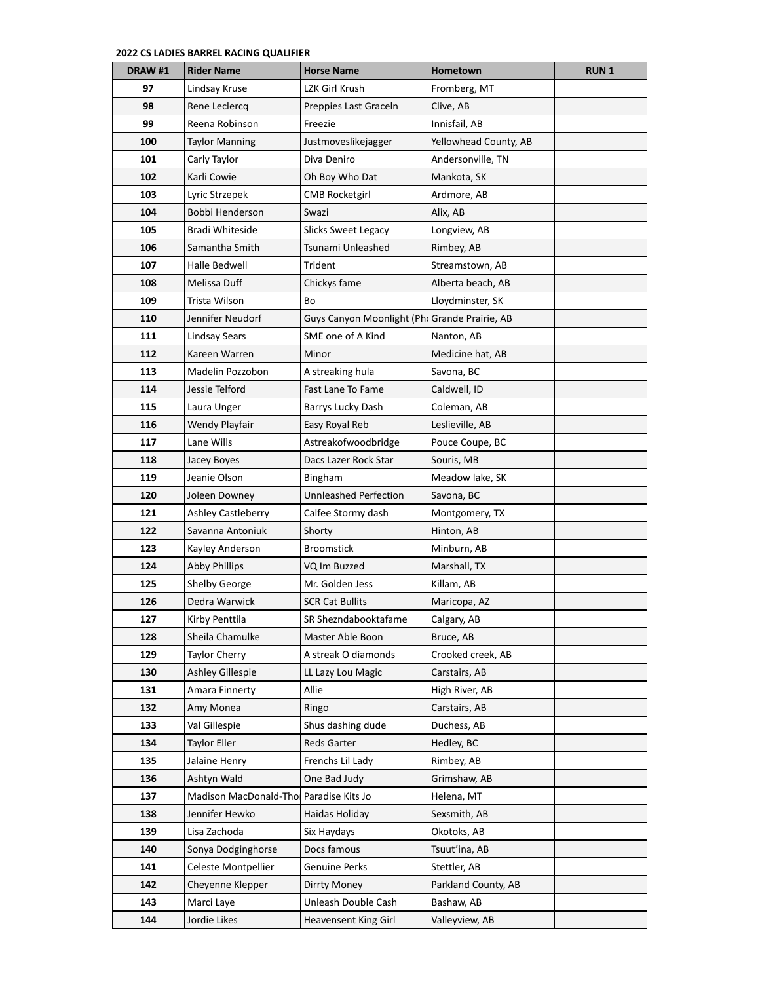| DRAW #1 | <b>Rider Name</b>      | <b>Horse Name</b>                             | Hometown              | <b>RUN1</b> |
|---------|------------------------|-----------------------------------------------|-----------------------|-------------|
| 97      | Lindsay Kruse          | LZK Girl Krush                                | Fromberg, MT          |             |
| 98      | Rene Leclercq          | Preppies Last Graceln                         | Clive, AB             |             |
| 99      | Reena Robinson         | Freezie                                       | Innisfail, AB         |             |
| 100     | Taylor Manning         | Justmoveslikejagger                           | Yellowhead County, AB |             |
| 101     | Carly Taylor           | Diva Deniro                                   | Andersonville, TN     |             |
| 102     | Karli Cowie            | Oh Boy Who Dat                                | Mankota, SK           |             |
| 103     | Lyric Strzepek         | <b>CMB Rocketgirl</b>                         | Ardmore, AB           |             |
| 104     | Bobbi Henderson        | Swazi                                         | Alix, AB              |             |
| 105     | <b>Bradi Whiteside</b> | Slicks Sweet Legacy                           | Longview, AB          |             |
| 106     | Samantha Smith         | Tsunami Unleashed                             | Rimbey, AB            |             |
| 107     | Halle Bedwell          | Trident                                       | Streamstown, AB       |             |
| 108     | Melissa Duff           | Chickys fame                                  | Alberta beach, AB     |             |
| 109     | Trista Wilson          | Bo                                            | Lloydminster, SK      |             |
| 110     | Jennifer Neudorf       | Guys Canyon Moonlight (Phi Grande Prairie, AB |                       |             |
| 111     | <b>Lindsay Sears</b>   | SME one of A Kind                             | Nanton, AB            |             |
| 112     | Kareen Warren          | Minor                                         | Medicine hat, AB      |             |
| 113     | Madelin Pozzobon       | A streaking hula                              | Savona, BC            |             |
| 114     | Jessie Telford         | Fast Lane To Fame                             | Caldwell, ID          |             |
| 115     | Laura Unger            | Barrys Lucky Dash                             | Coleman, AB           |             |
| 116     | Wendy Playfair         | Easy Royal Reb                                | Leslieville, AB       |             |
| 117     | Lane Wills             | Astreakofwoodbridge                           | Pouce Coupe, BC       |             |
| 118     | Jacey Boyes            | Dacs Lazer Rock Star                          | Souris, MB            |             |
| 119     | Jeanie Olson           | Bingham                                       | Meadow lake, SK       |             |
| 120     | Joleen Downey          | <b>Unnleashed Perfection</b>                  | Savona, BC            |             |
| 121     | Ashley Castleberry     | Calfee Stormy dash                            | Montgomery, TX        |             |
| 122     | Savanna Antoniuk       | Shorty                                        | Hinton, AB            |             |
| 123     | Kayley Anderson        | <b>Broomstick</b>                             | Minburn, AB           |             |
| 124     | <b>Abby Phillips</b>   | VQ Im Buzzed                                  | Marshall, TX          |             |
| 125     | <b>Shelby George</b>   | Mr. Golden Jess                               | Killam, AB            |             |
| 126     | Dedra Warwick          | <b>SCR Cat Bullits</b>                        | Maricopa, AZ          |             |
| 127     | Kirby Penttila         | SR Shezndabooktafame                          | Calgary, AB           |             |
| 128     | Sheila Chamulke        | Master Able Boon                              | Bruce, AB             |             |
| 129     | <b>Taylor Cherry</b>   | A streak O diamonds                           | Crooked creek, AB     |             |
| 130     | Ashley Gillespie       | LL Lazy Lou Magic                             | Carstairs, AB         |             |
| 131     | Amara Finnerty         | Allie                                         | High River, AB        |             |
| 132     | Amy Monea              | Ringo                                         | Carstairs, AB         |             |
| 133     | Val Gillespie          | Shus dashing dude                             | Duchess, AB           |             |
| 134     | <b>Taylor Eller</b>    | Reds Garter                                   | Hedley, BC            |             |
| 135     | Jalaine Henry          | Frenchs Lil Lady                              | Rimbey, AB            |             |
| 136     | Ashtyn Wald            | One Bad Judy                                  | Grimshaw, AB          |             |
| 137     | Madison MacDonald-Tho  | Paradise Kits Jo                              | Helena, MT            |             |
| 138     | Jennifer Hewko         | Haidas Holiday                                | Sexsmith, AB          |             |
| 139     | Lisa Zachoda           | Six Haydays                                   | Okotoks, AB           |             |
| 140     | Sonya Dodginghorse     | Docs famous                                   | Tsuut'ina, AB         |             |
| 141     | Celeste Montpellier    | Genuine Perks                                 | Stettler, AB          |             |
| 142     | Cheyenne Klepper       | Dirrty Money                                  | Parkland County, AB   |             |
| 143     | Marci Laye             | Unleash Double Cash                           | Bashaw, AB            |             |
| 144     | Jordie Likes           | <b>Heavensent King Girl</b>                   | Valleyview, AB        |             |